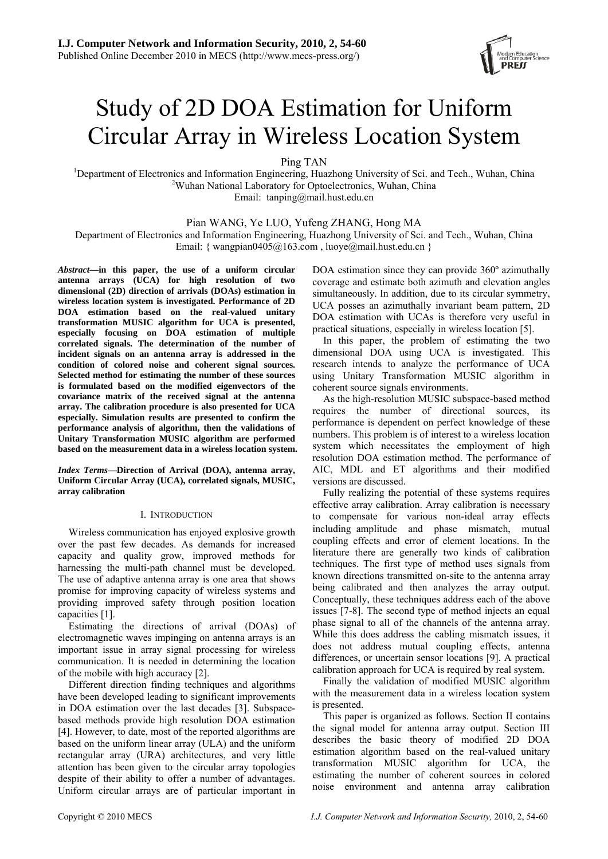

# Study of 2D DOA Estimation for Uniform Circular Array in Wireless Location System

Ping TAN<br><sup>1</sup>Department of Electronics and Information Engineering Hugg Department of Electronics and Information Engineering, Huazhong University of Sci. and Tech., Wuhan, China <sup>2</sup>Wuhan, <sup>2</sup>Wuhan, <sup>2</sup>Wuhan, <sup>2</sup>Wuhan, <sup>2</sup>Wuhan, <sup>2</sup>Wuhan, <sup>2</sup>Wuhan, <sup>2</sup>Wuhan, <sup>2</sup>Wuhan, <sup>2</sup>Wuhan, <sup>2</sup>Wuhan, <sup>2</sup>Wu <sup>2</sup>Wuhan National Laboratory for Optoelectronics, Wuhan, China Email: tanping@mail.hust.edu.cn

Pian WANG, Ye LUO, Yufeng ZHANG, Hong MA

Department of Electronics and Information Engineering, Huazhong University of Sci. and Tech., Wuhan, China Email: { wangpian0405@163.com , luoye@mail.hust.edu.cn }

*Abstract***—in this paper, the use of a uniform circular antenna arrays (UCA) for high resolution of two dimensional (2D) direction of arrivals (DOAs) estimation in wireless location system is investigated. Performance of 2D DOA estimation based on the real-valued unitary transformation MUSIC algorithm for UCA is presented, especially focusing on DOA estimation of multiple correlated signals. The determination of the number of incident signals on an antenna array is addressed in the condition of colored noise and coherent signal sources. Selected method for estimating the number of these sources is formulated based on the modified eigenvectors of the covariance matrix of the received signal at the antenna array. The calibration procedure is also presented for UCA especially. Simulation results are presented to confirm the performance analysis of algorithm, then the validations of Unitary Transformation MUSIC algorithm are performed based on the measurement data in a wireless location system.** 

*Index Terms***—Direction of Arrival (DOA), antenna array, Uniform Circular Array (UCA), correlated signals, MUSIC, array calibration** 

# I. INTRODUCTION

Wireless communication has enjoyed explosive growth over the past few decades. As demands for increased capacity and quality grow, improved methods for harnessing the multi-path channel must be developed. The use of adaptive antenna array is one area that shows promise for improving capacity of wireless systems and providing improved safety through position location capacities [1].

Estimating the directions of arrival (DOAs) of electromagnetic waves impinging on antenna arrays is an important issue in array signal processing for wireless communication. It is needed in determining the location of the mobile with high accuracy [2].

Different direction finding techniques and algorithms have been developed leading to significant improvements in DOA estimation over the last decades [3]. Subspacebased methods provide high resolution DOA estimation [4]. However, to date, most of the reported algorithms are based on the uniform linear array (ULA) and the uniform rectangular array (URA) architectures, and very little attention has been given to the circular array topologies despite of their ability to offer a number of advantages. Uniform circular arrays are of particular important in DOA estimation since they can provide 360<sup>°</sup> azimuthally coverage and estimate both azimuth and elevation angles simultaneously. In addition, due to its circular symmetry, UCA posses an azimuthally invariant beam pattern, 2D DOA estimation with UCAs is therefore very useful in practical situations, especially in wireless location [5].

In this paper, the problem of estimating the two dimensional DOA using UCA is investigated. This research intends to analyze the performance of UCA using Unitary Transformation MUSIC algorithm in coherent source signals environments.

As the high-resolution MUSIC subspace-based method requires the number of directional sources, its performance is dependent on perfect knowledge of these numbers. This problem is of interest to a wireless location system which necessitates the employment of high resolution DOA estimation method. The performance of AIC, MDL and ET algorithms and their modified versions are discussed.

Fully realizing the potential of these systems requires effective array calibration. Array calibration is necessary to compensate for various non-ideal array effects including amplitude and phase mismatch, mutual coupling effects and error of element locations. In the literature there are generally two kinds of calibration techniques. The first type of method uses signals from known directions transmitted on-site to the antenna array being calibrated and then analyzes the array output. Conceptually, these techniques address each of the above issues [7-8]. The second type of method injects an equal phase signal to all of the channels of the antenna array. While this does address the cabling mismatch issues, it does not address mutual coupling effects, antenna differences, or uncertain sensor locations [9]. A practical calibration approach for UCA is required by real system.

Finally the validation of modified MUSIC algorithm with the measurement data in a wireless location system is presented.

This paper is organized as follows. Section II contains the signal model for antenna array output. Section III describes the basic theory of modified 2D DOA estimation algorithm based on the real-valued unitary transformation MUSIC algorithm for UCA, the estimating the number of coherent sources in colored noise environment and antenna array calibration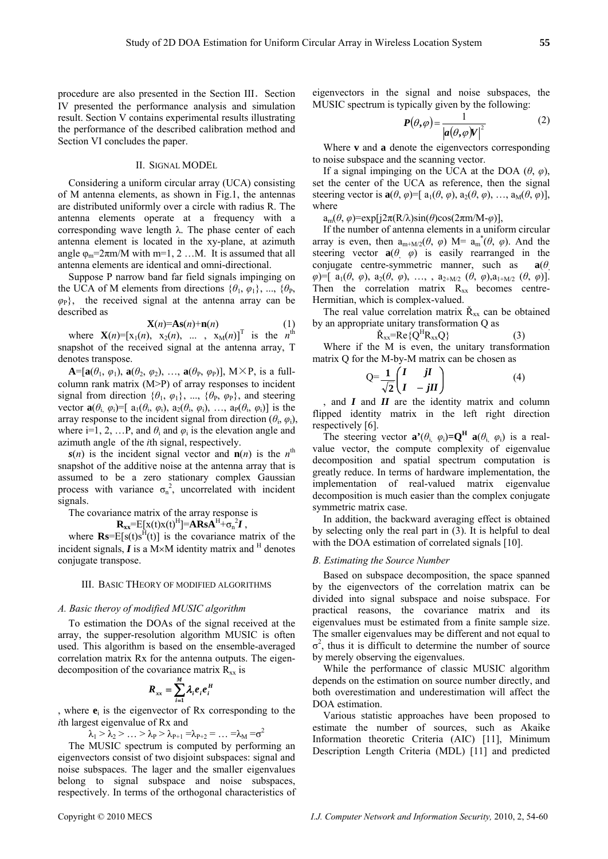procedure are also presented in the Section III. Section IV presented the performance analysis and simulation result. Section V contains experimental results illustrating the performance of the described calibration method and Section VI concludes the paper.

#### II. SIGNAL MODEL

Considering a uniform circular array (UCA) consisting of M antenna elements, as shown in Fig.1, the antennas are distributed uniformly over a circle with radius R. The antenna elements operate at a frequency with a corresponding wave length λ. The phase center of each antenna element is located in the xy-plane, at azimuth angle  $\varphi_m = 2\pi m/M$  with  $m=1, 2...M$ . It is assumed that all antenna elements are identical and omni-directional.

Suppose P narrow band far field signals impinging on the UCA of M elements from directions  $\{\theta_1, \varphi_1\}, \dots, \{\theta_p\}$  $\varphi$ <sub>P</sub>}, the received signal at the antenna array can be described as

$$
\mathbf{X}(n) = \mathbf{A}\mathbf{s}(n) + \mathbf{n}(n) \tag{1}
$$

where  $\mathbf{X}(n) = [x_1(n), x_2(n), \dots, x_M(n)]^T$  is the *n*<sup>th</sup> snapshot of the received signal at the antenna array, T denotes transpose.

 $\mathbf{A} = [\mathbf{a}(\theta_1, \varphi_1), \mathbf{a}(\theta_2, \varphi_2), \dots, \mathbf{a}(\theta_p, \varphi_p)], \mathbf{M} \times \mathbf{P}$ , is a fullcolumn rank matrix (M>P) of array responses to incident signal from direction  $\{\theta_1, \varphi_1\}$ , ...,  $\{\theta_\text{P}, \varphi_\text{P}\}$ , and steering vector  $\mathbf{a}(\theta_i, \varphi_i) = [a_1(\theta_i, \varphi_i), a_2(\theta_i, \varphi_i), \dots, a_p(\theta_i, \varphi_i)]$  is the array response to the incident signal from direction  $(\theta_i, \varphi_i)$ , where i=1, 2, ...P, and  $\theta_i$  and  $\varphi_i$  is the elevation angle and azimuth angle of the *i*th signal, respectively.

 $s(n)$  is the incident signal vector and  $n(n)$  is the *n*<sup>th</sup> snapshot of the additive noise at the antenna array that is assumed to be a zero stationary complex Gaussian process with variance  $\sigma_n^2$ , uncorrelated with incident signals.

The covariance matrix of the array response is

 $\mathbf{R}_{xx} = E[x(t)x(t)]^H$  =  $\mathbf{A}\mathbf{R}\mathbf{S}\mathbf{A}^H + \sigma_n^2\mathbf{I}$ ,

where  $\mathbf{Rs} = E[s(t)s^{H}(t)]$  is the covariance matrix of the incident signals,  $\boldsymbol{I}$  is a M×M identity matrix and  $^H$  denotes conjugate transpose.

### III. BASIC THEORY OF MODIFIED ALGORITHMS

#### *A. Basic theroy of modified MUSIC algorithm*

To estimation the DOAs of the signal received at the array, the supper-resolution algorithm MUSIC is often used. This algorithm is based on the ensemble-averaged correlation matrix Rx for the antenna outputs. The eigendecomposition of the covariance matrix  $R_{xx}$  is

$$
R_{xx} = \sum_{i=1}^{M} \lambda_i e_i e_i^H
$$

, where **e**i is the eigenvector of Rx corresponding to the *i*th largest eigenvalue of Rx and

$$
\lambda_1 > \lambda_2 > \ldots > \lambda_P > \lambda_{P+1} = \lambda_{P+2} = \ldots = \lambda_M = \sigma^2
$$

The MUSIC spectrum is computed by performing an eigenvectors consist of two disjoint subspaces: signal and noise subspaces. The lager and the smaller eigenvalues belong to signal subspace and noise subspaces, respectively. In terms of the orthogonal characteristics of eigenvectors in the signal and noise subspaces, the MUSIC spectrum is typically given by the following:

$$
P(\theta,\varphi) = \frac{1}{|a(\theta,\varphi)V|^2}
$$
 (2)

Where **v** and **a** denote the eigenvectors corresponding to noise subspace and the scanning vector.

If a signal impinging on the UCA at the DOA  $(\theta, \varphi)$ , set the center of the UCA as reference, then the signal steering vector is  $\mathbf{a}(\theta, \varphi) = [ a_1(\theta, \varphi), a_2(\theta, \varphi), ..., a_M(\theta, \varphi) ],$ where

 $a_m(\theta, \varphi) = \exp[i2\pi(R/\lambda)\sin(\theta)\cos(2\pi m/M-\varphi)],$ 

If the number of antenna elements in a uniform circular array is even, then  $a_{m+M/2}(\theta, \varphi)$  M=  $a_m^*(\theta, \varphi)$ . And the steering vector  $\mathbf{a}(\theta, \varphi)$  is easily rearranged in the conjugate centre-symmetric manner, such as **a**(*θ*,  $\varphi$ )=[ a<sub>1</sub>( $\theta$ ,  $\varphi$ ), a<sub>2</sub>( $\theta$ ,  $\varphi$ ), …, , a<sub>2+M/2</sub> ( $\theta$ ,  $\varphi$ ),a<sub>1+M/2</sub> ( $\theta$ ,  $\varphi$ )]. Then the correlation matrix  $R_{xx}$  becomes centre-Hermitian, which is complex-valued.

The real value correlation matrix  $\check{R}_{xx}$  can be obtained by an appropriate unitary transformation Q as

$$
\check{R}_{xx} = Re\{Q^H R_{xx} Q\} \tag{3}
$$

Where if the M is even, the unitary transformation matrix Q for the M-by-M matrix can be chosen as

$$
Q = \frac{1}{\sqrt{2}} \begin{pmatrix} I & jI \\ I & -jII \end{pmatrix}
$$
 (4)

, and *I* and *II* are the identity matrix and column flipped identity matrix in the left right direction respectively [6].

The steering vector  $\mathbf{a}^{\prime}(\theta_i, \varphi_i) = \mathbf{Q}^{\mathbf{H}} \mathbf{a}(\theta_i, \varphi_i)$  is a realvalue vector, the compute complexity of eigenvalue decomposition and spatial spectrum computation is greatly reduce. In terms of hardware implementation, the implementation of real-valued matrix eigenvalue decomposition is much easier than the complex conjugate symmetric matrix case.

In addition, the backward averaging effect is obtained by selecting only the real part in (3). It is helpful to deal with the DOA estimation of correlated signals [10].

#### *B. Estimating the Source Number*

Based on subspace decomposition, the space spanned by the eigenvectors of the correlation matrix can be divided into signal subspace and noise subspace. For practical reasons, the covariance matrix and its eigenvalues must be estimated from a finite sample size. The smaller eigenvalues may be different and not equal to  $\sigma^2$ , thus it is difficult to determine the number of source by merely observing the eigenvalues.

While the performance of classic MUSIC algorithm depends on the estimation on source number directly, and both overestimation and underestimation will affect the DOA estimation.

Various statistic approaches have been proposed to estimate the number of sources, such as Akaike Information theoretic Criteria (AIC) [11], Minimum Description Length Criteria (MDL) [11] and predicted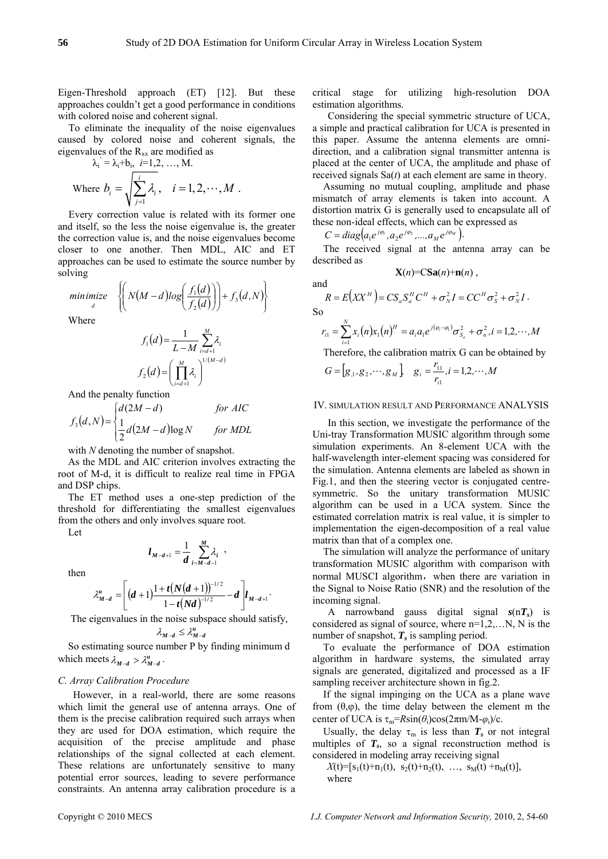and

So

Eigen-Threshold approach (ET) [12]. But these approaches couldn't get a good performance in conditions with colored noise and coherent signal.

To eliminate the inequality of the noise eigenvalues caused by colored noise and coherent signals, the eigenvalues of the  $R_{xx}$  are modified as

$$
\lambda_i = \lambda_i + b_i, \quad i = 1, 2, ..., M.
$$
  
Where  $b_i = \sqrt{\sum_{j=1}^i \lambda_i}, \quad i = 1, 2, ..., M.$ 

Every correction value is related with its former one and itself, so the less the noise eigenvalue is, the greater the correction value is, and the noise eigenvalues become closer to one another. Then MDL, AIC and ET approaches can be used to estimate the source number by solving

 $(M-d)log\left(\frac{f_1(d)}{f_2(d)}\right) + f_3(d,N)$  $\mathbf{I}$  $\overline{\mathfrak{r}}$ ⎪ ⎨  $\sqrt{ }$  $\vert +$ ⎠ ⎞  $\parallel$ ⎝ ⎛  $\overline{\phantom{a}}$ ⎠ ⎞  $\parallel$ ⎝  $\begin{aligned} \text{minimize} \quad & \left\{ N(M-d)\log\left(\frac{f_1(d)}{f_2(d)}\right) \right\} + f_3(d,N) \end{aligned}$ 1

Where

$$
f_1(d) = \frac{1}{L - M} \sum_{i=d+1}^{M} \lambda_i
$$

$$
f_2(d) = \left(\prod_{i=d+1}^{M} \lambda_i\right)^{1/(M - d)}
$$

And the penalty function

$$
f_3(d,N) = \begin{cases} d(2M-d) & \text{for AIC} \\ \frac{1}{2}d(2M-d)\log N & \text{for MDL} \end{cases}
$$

with *N* denoting the number of snapshot.

As the MDL and AIC criterion involves extracting the root of M-d, it is difficult to realize real time in FPGA and DSP chips.

The ET method uses a one-step prediction of the threshold for differentiating the smallest eigenvalues from the others and only involves square root.

Let

$$
l_{M-d+1} = \frac{1}{d} \sum_{i=M-d-1}^{M} \lambda_i ,
$$

then

$$
\lambda_{M-d}^u = \left[ (d+1) \frac{1+t(N(d+1))^{-1/2}}{1-t(Nd)^{-1/2}} - d \right] l_{M-d+1}.
$$

The eigenvalues in the noise subspace should satisfy,

$$
\lambda_{M-d}^{\vphantom{M}}\leq \lambda_{M-d}^u
$$

So estimating source number P by finding minimum d which meets  $\lambda_{M-d} > \lambda_{M-d}^u$ .

## *C. Array Calibration Procedure*

However, in a real-world, there are some reasons which limit the general use of antenna arrays. One of them is the precise calibration required such arrays when they are used for DOA estimation, which require the acquisition of the precise amplitude and phase relationships of the signal collected at each element. These relations are unfortunately sensitive to many potential error sources, leading to severe performance constraints. An antenna array calibration procedure is a

critical stage for utilizing high-resolution DOA estimation algorithms.

Considering the special symmetric structure of UCA, a simple and practical calibration for UCA is presented in this paper. Assume the antenna elements are omnidirection, and a calibration signal transmitter antenna is placed at the center of UCA, the amplitude and phase of received signals Sa(*t*) at each element are same in theory.

Assuming no mutual coupling, amplitude and phase mismatch of array elements is taken into account. A distortion matrix G is generally used to encapsulate all of these non-ideal effects, which can be expressed as

$$
C = diag\big(a_1 e^{j\varphi_1}, a_2 e^{j\varphi_2}, ..., a_M e^{j\varphi_M}\big).
$$

The received signal at the antenna array can be described as

$$
\mathbf{X}(n) = \text{CSa}(n) + \mathbf{n}(n) ,
$$

$$
R = E\left(XX^H\right) = CS_aS_a^H C^H + \sigma_N^2 I = CC^H \sigma_S^2 + \sigma_N^2 I.
$$

$$
r_{i1} = \sum_{i=1}^{N} x_i(n)x_1(n)^{H} = a_i a_1 e^{j(\varphi_i - \varphi_i)} \sigma_{S_a}^2 + \sigma_n^2, i = 1, 2, \cdots, M
$$

Therefore, the calibration matrix G can be obtained by

$$
G = [g_{,1}, g_{,2}, \cdots, g_{M}] \quad g_{i} = \frac{r_{11}}{r_{i1}}, i = 1, 2, \cdots, M
$$

#### IV. SIMULATION RESULT AND PERFORMANCE ANALYSIS

In this section, we investigate the performance of the Uni-tray Transformation MUSIC algorithm through some simulation experiments. An 8-element UCA with the half-wavelength inter-element spacing was considered for the simulation. Antenna elements are labeled as shown in Fig.1, and then the steering vector is conjugated centresymmetric. So the unitary transformation MUSIC algorithm can be used in a UCA system. Since the estimated correlation matrix is real value, it is simpler to implementation the eigen-decomposition of a real value matrix than that of a complex one.

The simulation will analyze the performance of unitary transformation MUSIC algorithm with comparison with normal MUSCI algorithm, when there are variation in the Signal to Noise Ratio (SNR) and the resolution of the incoming signal.

A narrowband gauss digital signal *s*(n*Ts*) is considered as signal of source, where  $n=1,2,...N$ , N is the number of snapshot,  $T_s$  is sampling period.

To evaluate the performance of DOA estimation algorithm in hardware systems, the simulated array signals are generated, digitalized and processed as a IF sampling receiver architecture shown in fig.2.

If the signal impinging on the UCA as a plane wave from  $(θ, φ)$ , the time delay between the element m the center of UCA is  $\tau_m = R\sin(\theta_i)\cos(2\pi m/M - \varphi_i)/c$ .

Usually, the delay  $\tau_m$  is less than  $T_s$  or not integral multiples of  $T_s$ , so a signal reconstruction method is considered in modeling array receiving signal

 $X(t) = [s_1(t) + n_1(t), s_2(t) + n_2(t), \ldots, s_M(t) + n_M(t)],$ where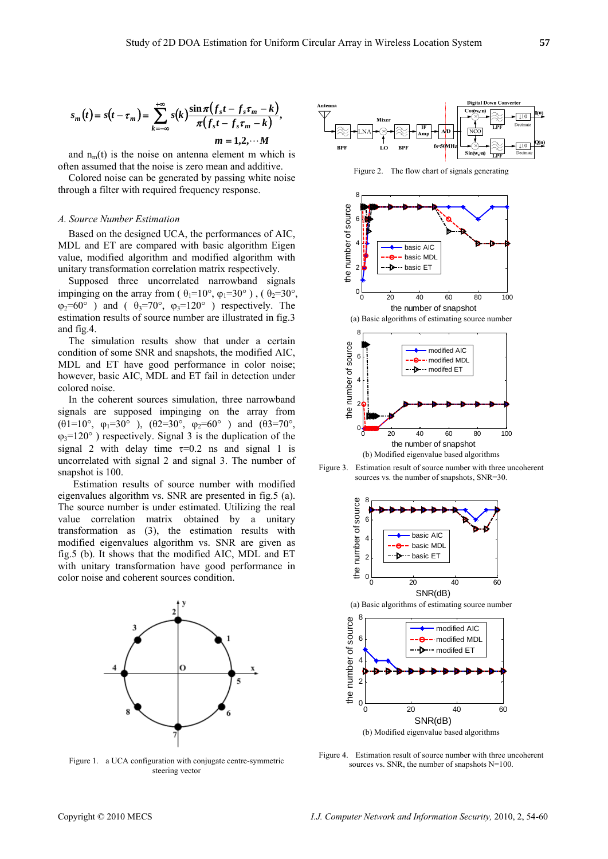$$
s_m(t) = s(t - \tau_m) = \sum_{k=-\infty}^{+\infty} s(k) \frac{\sin \pi (f_s t - f_s \tau_m - k)}{\pi (f_s t - f_s \tau_m - k)},
$$
  
\n
$$
m = 1, 2, \cdots M
$$

and  $n_m(t)$  is the noise on antenna element m which is often assumed that the noise is zero mean and additive.

Colored noise can be generated by passing white noise through a filter with required frequency response.

# *A. Source Number Estimation*

Based on the designed UCA, the performances of AIC, MDL and ET are compared with basic algorithm Eigen value, modified algorithm and modified algorithm with unitary transformation correlation matrix respectively.

Supposed three uncorrelated narrowband signals impinging on the array from ( $\theta_1=10^\circ$ ,  $\varphi_1=30^\circ$ ), ( $\theta_2=30^\circ$ ,  $\varphi_2=60^\circ$  ) and (  $\theta_3=70^\circ$ ,  $\varphi_3=120^\circ$  ) respectively. The estimation results of source number are illustrated in fig.3 and fig.4.

The simulation results show that under a certain condition of some SNR and snapshots, the modified AIC, MDL and ET have good performance in color noise; however, basic AIC, MDL and ET fail in detection under colored noise.

In the coherent sources simulation, three narrowband signals are supposed impinging on the array from (θ1=10°, ϕ1=30° ), (θ2=30°, ϕ2=60° ) and (θ3=70°,  $\varphi_3=120^\circ$ ) respectively. Signal 3 is the duplication of the signal 2 with delay time  $\tau=0.2$  ns and signal 1 is uncorrelated with signal 2 and signal 3. The number of snapshot is 100.

Estimation results of source number with modified eigenvalues algorithm vs. SNR are presented in fig.5 (a). The source number is under estimated. Utilizing the real value correlation matrix obtained by a unitary transformation as (3), the estimation results with modified eigenvalues algorithm vs. SNR are given as fig.5 (b). It shows that the modified AIC, MDL and ET with unitary transformation have good performance in color noise and coherent sources condition.



Figure 1. a UCA configuration with conjugate centre-symmetric steering vector



Figure 2. The flow chart of signals generating







Figure 4. Estimation result of source number with three uncoherent sources vs. SNR, the number of snapshots N=100.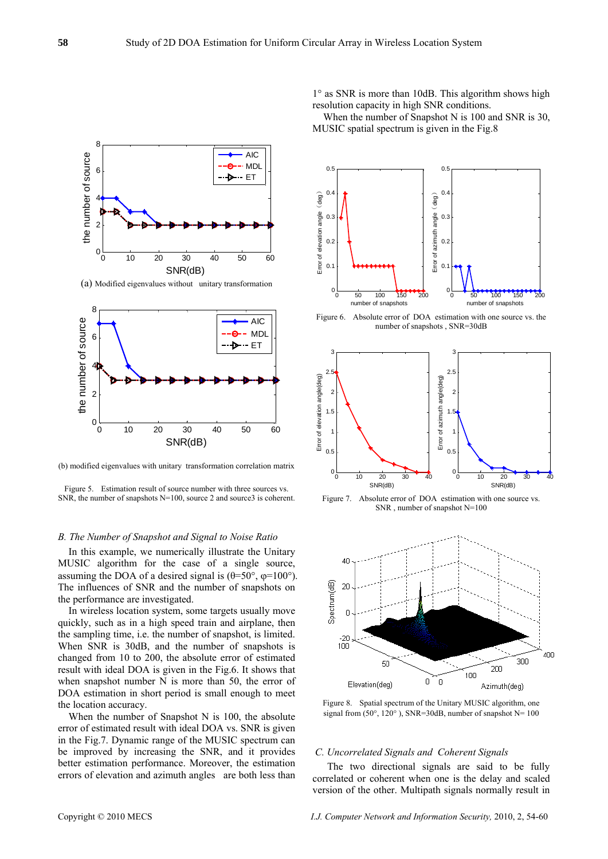

When the number of Snapshot N is 100 and SNR is 30, MUSIC spatial spectrum is given in the Fig.8



(b) modified eigenvalues with unitary transformation correlation matrix

Figure 5. Estimation result of source number with three sources vs. SNR, the number of snapshots N=100, source 2 and source 3 is coherent.

### *B. The Number of Snapshot and Signal to Noise Ratio*

In this example, we numerically illustrate the Unitary MUSIC algorithm for the case of a single source, assuming the DOA of a desired signal is  $(\theta=50^{\circ}, \phi=100^{\circ})$ . The influences of SNR and the number of snapshots on the performance are investigated.

In wireless location system, some targets usually move quickly, such as in a high speed train and airplane, then the sampling time, i.e. the number of snapshot, is limited. When SNR is 30dB, and the number of snapshots is changed from 10 to 200, the absolute error of estimated result with ideal DOA is given in the Fig.6. It shows that when snapshot number N is more than 50, the error of DOA estimation in short period is small enough to meet the location accuracy.

When the number of Snapshot N is 100, the absolute error of estimated result with ideal DOA vs. SNR is given in the Fig.7. Dynamic range of the MUSIC spectrum can be improved by increasing the SNR, and it provides better estimation performance. Moreover, the estimation errors of elevation and azimuth angles are both less than



Figure 6. Absolute error of DOA estimation with one source vs. the number of snapshots , SNR=30dB



Figure 7. Absolute error of DOA estimation with one source vs. SNR , number of snapshot N=100



Figure 8. Spatial spectrum of the Unitary MUSIC algorithm, one signal from  $(50^{\circ}, 120^{\circ})$ , SNR=30dB, number of snapshot N= 100

# *C. Uncorrelated Signals and Coherent Signals*

The two directional signals are said to be fully correlated or coherent when one is the delay and scaled version of the other. Multipath signals normally result in

8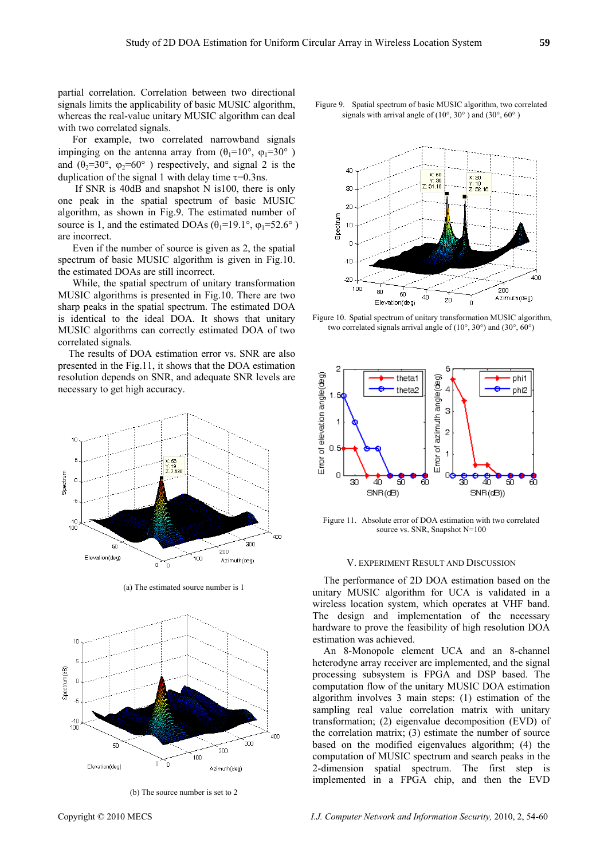partial correlation. Correlation between two directional signals limits the applicability of basic MUSIC algorithm, whereas the real-value unitary MUSIC algorithm can deal with two correlated signals.

For example, two correlated narrowband signals impinging on the antenna array from  $(\theta_1=10^\circ, \ \omega_1=30^\circ)$ and  $(\theta_2=30^\circ, \varphi_2=60^\circ)$  respectively, and signal 2 is the duplication of the signal 1 with delay time  $\tau$ =0.3ns.

If SNR is 40dB and snapshot N is100, there is only one peak in the spatial spectrum of basic MUSIC algorithm, as shown in Fig.9. The estimated number of source is 1, and the estimated DOAs  $(\theta_1=19.1^\circ, \varphi_1=52.6^\circ)$ are incorrect.

Even if the number of source is given as 2, the spatial spectrum of basic MUSIC algorithm is given in Fig.10. the estimated DOAs are still incorrect.

While, the spatial spectrum of unitary transformation MUSIC algorithms is presented in Fig.10. There are two sharp peaks in the spatial spectrum. The estimated DOA is identical to the ideal DOA. It shows that unitary MUSIC algorithms can correctly estimated DOA of two correlated signals.

The results of DOA estimation error vs. SNR are also presented in the Fig.11, it shows that the DOA estimation resolution depends on SNR, and adequate SNR levels are necessary to get high accuracy.



(a) The estimated source number is 1



(b) The source number is set to 2



Figure 9. Spatial spectrum of basic MUSIC algorithm, two correlated signals with arrival angle of (10°, 30° ) and (30°, 60° )



Figure 10. Spatial spectrum of unitary transformation MUSIC algorithm, two correlated signals arrival angle of (10°, 30°) and (30°, 60°)



Figure 11. Absolute error of DOA estimation with two correlated source vs. SNR, Snapshot N=100

### V. EXPERIMENT RESULT AND DISCUSSION

The performance of 2D DOA estimation based on the unitary MUSIC algorithm for UCA is validated in a wireless location system, which operates at VHF band. The design and implementation of the necessary hardware to prove the feasibility of high resolution DOA estimation was achieved.

An 8-Monopole element UCA and an 8-channel heterodyne array receiver are implemented, and the signal processing subsystem is FPGA and DSP based. The computation flow of the unitary MUSIC DOA estimation algorithm involves 3 main steps: (1) estimation of the sampling real value correlation matrix with unitary transformation; (2) eigenvalue decomposition (EVD) of the correlation matrix; (3) estimate the number of source based on the modified eigenvalues algorithm; (4) the computation of MUSIC spectrum and search peaks in the 2-dimension spatial spectrum. The first step is implemented in a FPGA chip, and then the EVD